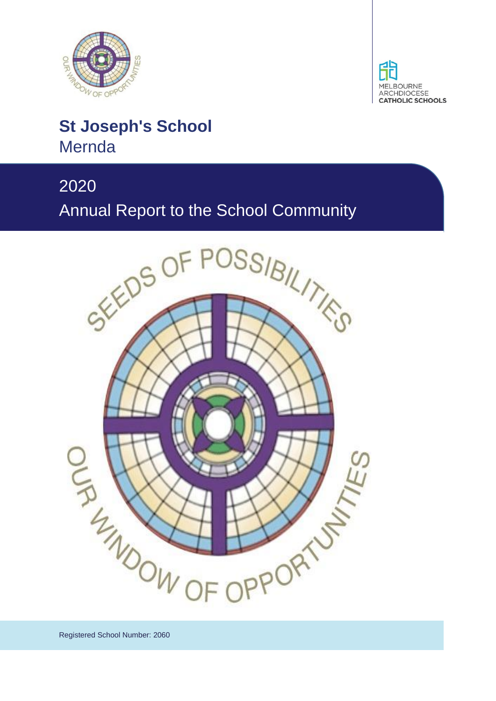



# **St Joseph's School Mernda**

# 2020



Registered School Number: 2060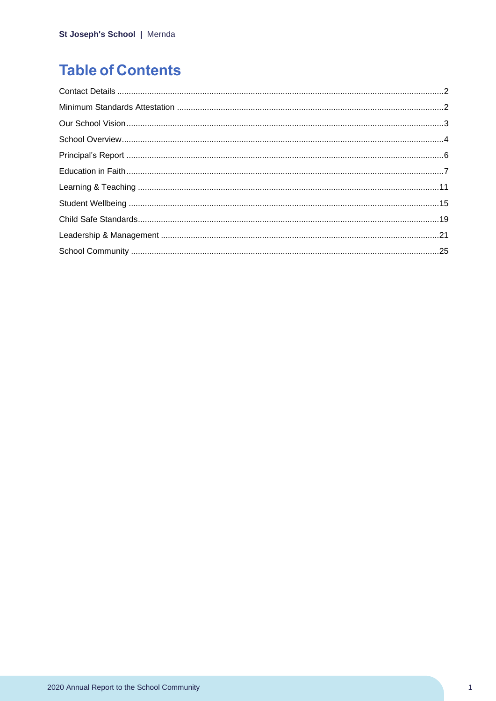# **Table of Contents**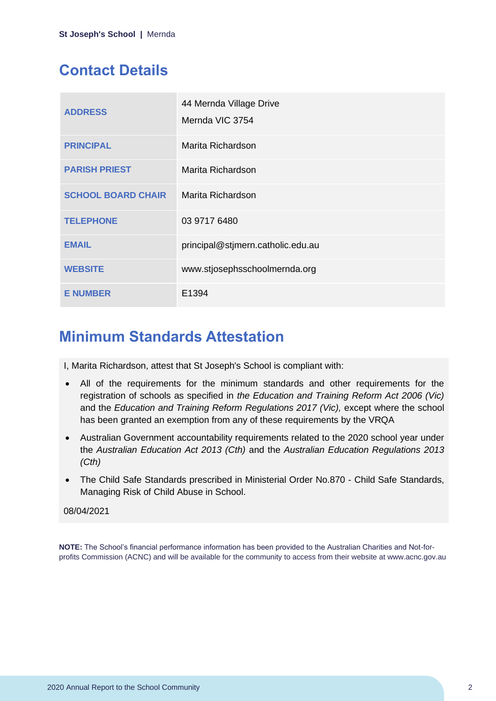# <span id="page-2-0"></span>**Contact Details**

| <b>ADDRESS</b>            | 44 Mernda Village Drive<br>Mernda VIC 3754 |
|---------------------------|--------------------------------------------|
| <b>PRINCIPAL</b>          | Marita Richardson                          |
| <b>PARISH PRIEST</b>      | Marita Richardson                          |
| <b>SCHOOL BOARD CHAIR</b> | Marita Richardson                          |
| <b>TELEPHONE</b>          | 03 9717 6480                               |
| <b>EMAIL</b>              | principal@stjmern.catholic.edu.au          |
| <b>WEBSITE</b>            | www.stjosephsschoolmernda.org              |
| <b>E NUMBER</b>           | E1394                                      |

# <span id="page-2-1"></span>**Minimum Standards Attestation**

I, Marita Richardson, attest that St Joseph's School is compliant with:

- All of the requirements for the minimum standards and other requirements for the registration of schools as specified in *the Education and Training Reform Act 2006 (Vic)* and the *Education and Training Reform Regulations 2017 (Vic),* except where the school has been granted an exemption from any of these requirements by the VRQA
- Australian Government accountability requirements related to the 2020 school year under the *Australian Education Act 2013 (Cth)* and the *Australian Education Regulations 2013 (Cth)*
- The Child Safe Standards prescribed in Ministerial Order No.870 Child Safe Standards, Managing Risk of Child Abuse in School.

#### 08/04/2021

**NOTE:** The School's financial performance information has been provided to the Australian Charities and Not-forprofits Commission (ACNC) and will be available for the community to access from their website at www.acnc.gov.au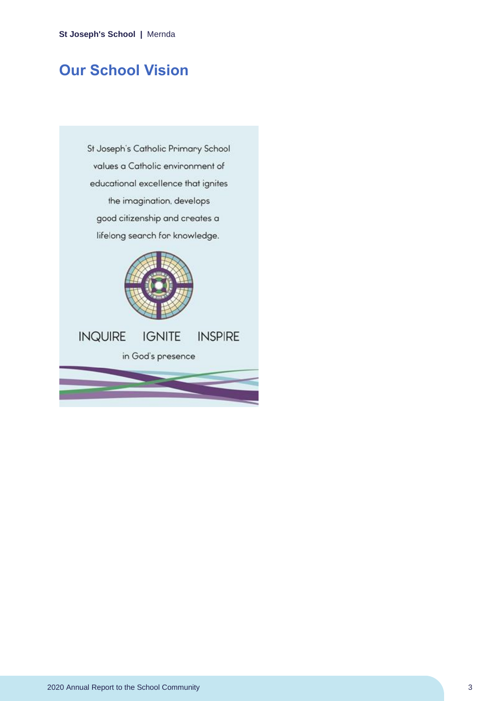# <span id="page-3-0"></span>**Our School Vision**

St Joseph's Catholic Primary School values a Catholic environment of educational excellence that ignites the imagination, develops good citizenship and creates a lifelong search for knowledge.

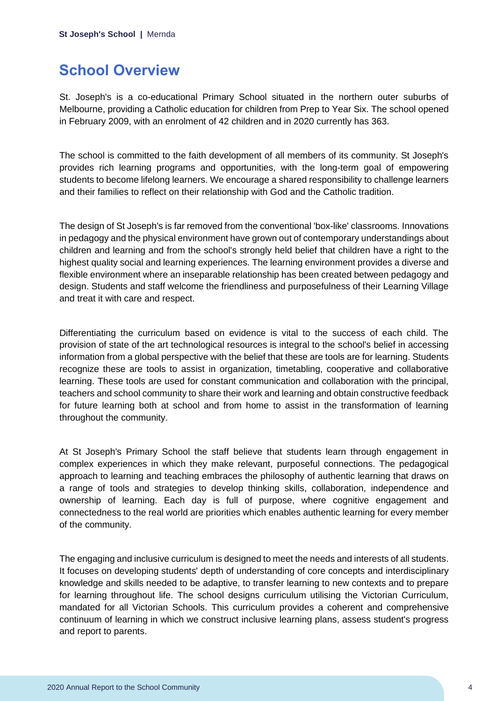# <span id="page-4-0"></span>**School Overview**

St. Joseph's is a co-educational Primary School situated in the northern outer suburbs of Melbourne, providing a Catholic education for children from Prep to Year Six. The school opened in February 2009, with an enrolment of 42 children and in 2020 currently has 363.

The school is committed to the faith development of all members of its community. St Joseph's provides rich learning programs and opportunities, with the long-term goal of empowering students to become lifelong learners. We encourage a shared responsibility to challenge learners and their families to reflect on their relationship with God and the Catholic tradition.

The design of St Joseph's is far removed from the conventional 'box-like' classrooms. Innovations in pedagogy and the physical environment have grown out of contemporary understandings about children and learning and from the school's strongly held belief that children have a right to the highest quality social and learning experiences. The learning environment provides a diverse and flexible environment where an inseparable relationship has been created between pedagogy and design. Students and staff welcome the friendliness and purposefulness of their Learning Village and treat it with care and respect.

Differentiating the curriculum based on evidence is vital to the success of each child. The provision of state of the art technological resources is integral to the school's belief in accessing information from a global perspective with the belief that these are tools are for learning. Students recognize these are tools to assist in organization, timetabling, cooperative and collaborative learning. These tools are used for constant communication and collaboration with the principal, teachers and school community to share their work and learning and obtain constructive feedback for future learning both at school and from home to assist in the transformation of learning throughout the community.

At St Joseph's Primary School the staff believe that students learn through engagement in complex experiences in which they make relevant, purposeful connections. The pedagogical approach to learning and teaching embraces the philosophy of authentic learning that draws on a range of tools and strategies to develop thinking skills, collaboration, independence and ownership of learning. Each day is full of purpose, where cognitive engagement and connectedness to the real world are priorities which enables authentic learning for every member of the community.

The engaging and inclusive curriculum is designed to meet the needs and interests of all students. It focuses on developing students' depth of understanding of core concepts and interdisciplinary knowledge and skills needed to be adaptive, to transfer learning to new contexts and to prepare for learning throughout life. The school designs curriculum utilising the Victorian Curriculum, mandated for all Victorian Schools. This curriculum provides a coherent and comprehensive continuum of learning in which we construct inclusive learning plans, assess student's progress and report to parents.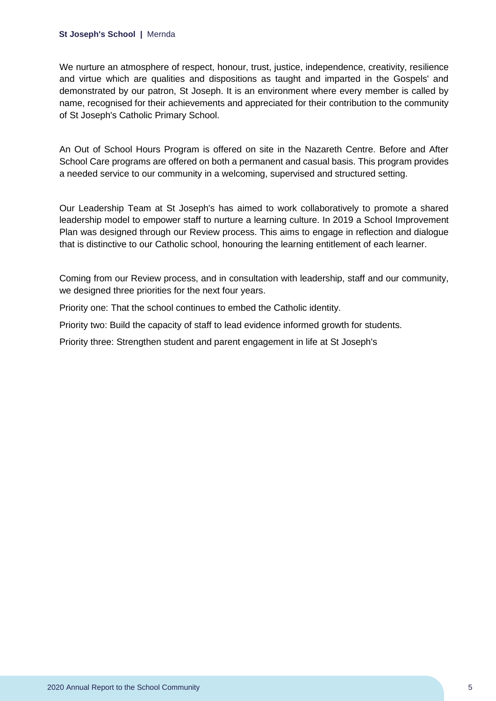#### **St Joseph's School |** Mernda

We nurture an atmosphere of respect, honour, trust, justice, independence, creativity, resilience and virtue which are qualities and dispositions as taught and imparted in the Gospels' and demonstrated by our patron, St Joseph. It is an environment where every member is called by name, recognised for their achievements and appreciated for their contribution to the community of St Joseph's Catholic Primary School.

An Out of School Hours Program is offered on site in the Nazareth Centre. Before and After School Care programs are offered on both a permanent and casual basis. This program provides a needed service to our community in a welcoming, supervised and structured setting.

Our Leadership Team at St Joseph's has aimed to work collaboratively to promote a shared leadership model to empower staff to nurture a learning culture. In 2019 a School Improvement Plan was designed through our Review process. This aims to engage in reflection and dialogue that is distinctive to our Catholic school, honouring the learning entitlement of each learner.

Coming from our Review process, and in consultation with leadership, staff and our community, we designed three priorities for the next four years.

Priority one: That the school continues to embed the Catholic identity.

Priority two: Build the capacity of staff to lead evidence informed growth for students.

Priority three: Strengthen student and parent engagement in life at St Joseph's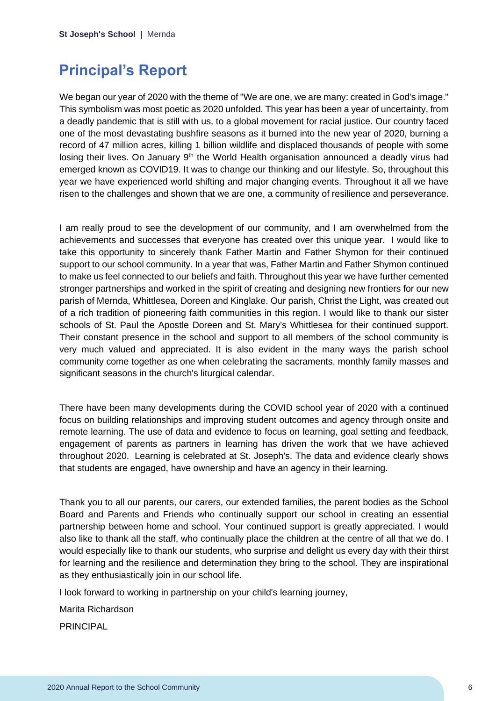## <span id="page-6-0"></span>**Principal's Report**

We began our year of 2020 with the theme of "We are one, we are many: created in God's image." This symbolism was most poetic as 2020 unfolded. This year has been a year of uncertainty, from a deadly pandemic that is still with us, to a global movement for racial justice. Our country faced one of the most devastating bushfire seasons as it burned into the new year of 2020, burning a record of 47 million acres, killing 1 billion wildlife and displaced thousands of people with some losing their lives. On January 9<sup>th</sup> the World Health organisation announced a deadly virus had emerged known as COVID19. It was to change our thinking and our lifestyle. So, throughout this year we have experienced world shifting and major changing events. Throughout it all we have risen to the challenges and shown that we are one, a community of resilience and perseverance.

I am really proud to see the development of our community, and I am overwhelmed from the achievements and successes that everyone has created over this unique year. I would like to take this opportunity to sincerely thank Father Martin and Father Shymon for their continued support to our school community. In a year that was, Father Martin and Father Shymon continued to make us feel connected to our beliefs and faith. Throughout this year we have further cemented stronger partnerships and worked in the spirit of creating and designing new frontiers for our new parish of Mernda, Whittlesea, Doreen and Kinglake. Our parish, Christ the Light, was created out of a rich tradition of pioneering faith communities in this region. I would like to thank our sister schools of St. Paul the Apostle Doreen and St. Mary's Whittlesea for their continued support. Their constant presence in the school and support to all members of the school community is very much valued and appreciated. It is also evident in the many ways the parish school community come together as one when celebrating the sacraments, monthly family masses and significant seasons in the church's liturgical calendar.

There have been many developments during the COVID school year of 2020 with a continued focus on building relationships and improving student outcomes and agency through onsite and remote learning. The use of data and evidence to focus on learning, goal setting and feedback, engagement of parents as partners in learning has driven the work that we have achieved throughout 2020. Learning is celebrated at St. Joseph's. The data and evidence clearly shows that students are engaged, have ownership and have an agency in their learning.

Thank you to all our parents, our carers, our extended families, the parent bodies as the School Board and Parents and Friends who continually support our school in creating an essential partnership between home and school. Your continued support is greatly appreciated. I would also like to thank all the staff, who continually place the children at the centre of all that we do. I would especially like to thank our students, who surprise and delight us every day with their thirst for learning and the resilience and determination they bring to the school. They are inspirational as they enthusiastically join in our school life.

I look forward to working in partnership on your child's learning journey,

Marita Richardson

PRINCIPAL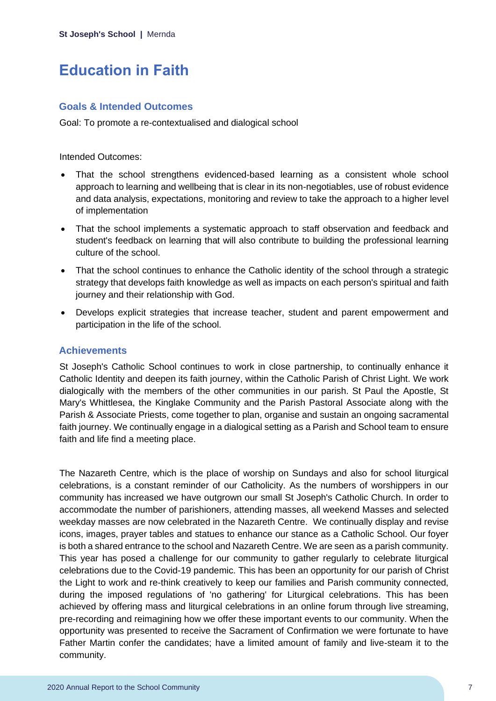# <span id="page-7-0"></span>**Education in Faith**

## **Goals & Intended Outcomes**

Goal: To promote a re-contextualised and dialogical school

#### Intended Outcomes:

- That the school strengthens evidenced-based learning as a consistent whole school approach to learning and wellbeing that is clear in its non-negotiables, use of robust evidence and data analysis, expectations, monitoring and review to take the approach to a higher level of implementation
- That the school implements a systematic approach to staff observation and feedback and student's feedback on learning that will also contribute to building the professional learning culture of the school.
- That the school continues to enhance the Catholic identity of the school through a strategic strategy that develops faith knowledge as well as impacts on each person's spiritual and faith journey and their relationship with God.
- Develops explicit strategies that increase teacher, student and parent empowerment and participation in the life of the school.

## **Achievements**

St Joseph's Catholic School continues to work in close partnership, to continually enhance it Catholic Identity and deepen its faith journey, within the Catholic Parish of Christ Light. We work dialogically with the members of the other communities in our parish. St Paul the Apostle, St Mary's Whittlesea, the Kinglake Community and the Parish Pastoral Associate along with the Parish & Associate Priests, come together to plan, organise and sustain an ongoing sacramental faith journey. We continually engage in a dialogical setting as a Parish and School team to ensure faith and life find a meeting place.

The Nazareth Centre, which is the place of worship on Sundays and also for school liturgical celebrations, is a constant reminder of our Catholicity. As the numbers of worshippers in our community has increased we have outgrown our small St Joseph's Catholic Church. In order to accommodate the number of parishioners, attending masses, all weekend Masses and selected weekday masses are now celebrated in the Nazareth Centre. We continually display and revise icons, images, prayer tables and statues to enhance our stance as a Catholic School. Our foyer is both a shared entrance to the school and Nazareth Centre. We are seen as a parish community. This year has posed a challenge for our community to gather regularly to celebrate liturgical celebrations due to the Covid-19 pandemic. This has been an opportunity for our parish of Christ the Light to work and re-think creatively to keep our families and Parish community connected, during the imposed regulations of 'no gathering' for Liturgical celebrations. This has been achieved by offering mass and liturgical celebrations in an online forum through live streaming, pre-recording and reimagining how we offer these important events to our community. When the opportunity was presented to receive the Sacrament of Confirmation we were fortunate to have Father Martin confer the candidates; have a limited amount of family and live-steam it to the community.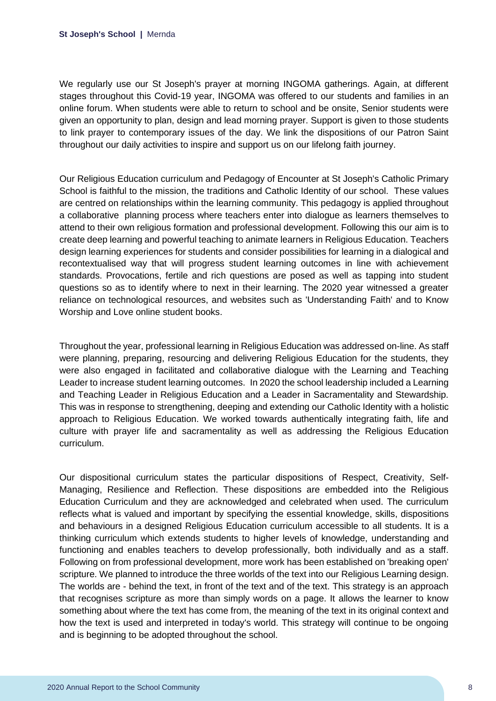We regularly use our St Joseph's prayer at morning INGOMA gatherings. Again, at different stages throughout this Covid-19 year, INGOMA was offered to our students and families in an online forum. When students were able to return to school and be onsite, Senior students were given an opportunity to plan, design and lead morning prayer. Support is given to those students to link prayer to contemporary issues of the day. We link the dispositions of our Patron Saint throughout our daily activities to inspire and support us on our lifelong faith journey.

Our Religious Education curriculum and Pedagogy of Encounter at St Joseph's Catholic Primary School is faithful to the mission, the traditions and Catholic Identity of our school. These values are centred on relationships within the learning community. This pedagogy is applied throughout a collaborative planning process where teachers enter into dialogue as learners themselves to attend to their own religious formation and professional development. Following this our aim is to create deep learning and powerful teaching to animate learners in Religious Education. Teachers design learning experiences for students and consider possibilities for learning in a dialogical and recontextualised way that will progress student learning outcomes in line with achievement standards. Provocations, fertile and rich questions are posed as well as tapping into student questions so as to identify where to next in their learning. The 2020 year witnessed a greater reliance on technological resources, and websites such as 'Understanding Faith' and to Know Worship and Love online student books.

Throughout the year, professional learning in Religious Education was addressed on-line. As staff were planning, preparing, resourcing and delivering Religious Education for the students, they were also engaged in facilitated and collaborative dialogue with the Learning and Teaching Leader to increase student learning outcomes. In 2020 the school leadership included a Learning and Teaching Leader in Religious Education and a Leader in Sacramentality and Stewardship. This was in response to strengthening, deeping and extending our Catholic Identity with a holistic approach to Religious Education. We worked towards authentically integrating faith, life and culture with prayer life and sacramentality as well as addressing the Religious Education curriculum.

Our dispositional curriculum states the particular dispositions of Respect, Creativity, Self-Managing, Resilience and Reflection. These dispositions are embedded into the Religious Education Curriculum and they are acknowledged and celebrated when used. The curriculum reflects what is valued and important by specifying the essential knowledge, skills, dispositions and behaviours in a designed Religious Education curriculum accessible to all students. It is a thinking curriculum which extends students to higher levels of knowledge, understanding and functioning and enables teachers to develop professionally, both individually and as a staff. Following on from professional development, more work has been established on 'breaking open' scripture. We planned to introduce the three worlds of the text into our Religious Learning design. The worlds are - behind the text, in front of the text and of the text. This strategy is an approach that recognises scripture as more than simply words on a page. It allows the learner to know something about where the text has come from, the meaning of the text in its original context and how the text is used and interpreted in today's world. This strategy will continue to be ongoing and is beginning to be adopted throughout the school.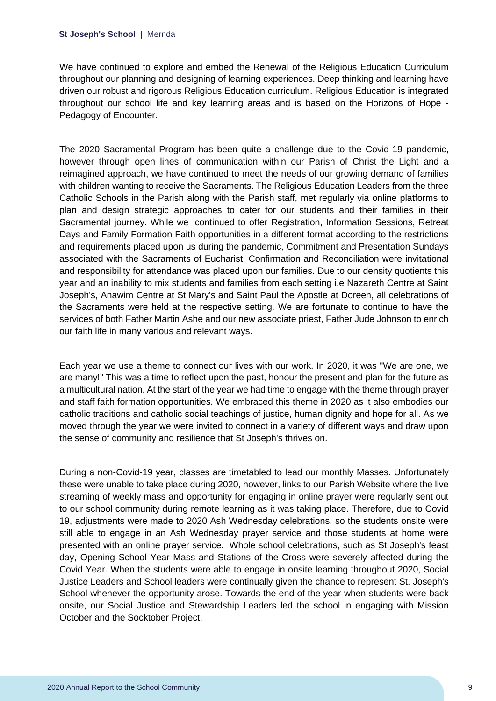We have continued to explore and embed the Renewal of the Religious Education Curriculum throughout our planning and designing of learning experiences. Deep thinking and learning have driven our robust and rigorous Religious Education curriculum. Religious Education is integrated throughout our school life and key learning areas and is based on the Horizons of Hope - Pedagogy of Encounter.

The 2020 Sacramental Program has been quite a challenge due to the Covid-19 pandemic, however through open lines of communication within our Parish of Christ the Light and a reimagined approach, we have continued to meet the needs of our growing demand of families with children wanting to receive the Sacraments. The Religious Education Leaders from the three Catholic Schools in the Parish along with the Parish staff, met regularly via online platforms to plan and design strategic approaches to cater for our students and their families in their Sacramental journey. While we continued to offer Registration, Information Sessions, Retreat Days and Family Formation Faith opportunities in a different format according to the restrictions and requirements placed upon us during the pandemic, Commitment and Presentation Sundays associated with the Sacraments of Eucharist, Confirmation and Reconciliation were invitational and responsibility for attendance was placed upon our families. Due to our density quotients this year and an inability to mix students and families from each setting i.e Nazareth Centre at Saint Joseph's, Anawim Centre at St Mary's and Saint Paul the Apostle at Doreen, all celebrations of the Sacraments were held at the respective setting. We are fortunate to continue to have the services of both Father Martin Ashe and our new associate priest, Father Jude Johnson to enrich our faith life in many various and relevant ways.

Each year we use a theme to connect our lives with our work. In 2020, it was "We are one, we are many!" This was a time to reflect upon the past, honour the present and plan for the future as a multicultural nation. At the start of the year we had time to engage with the theme through prayer and staff faith formation opportunities. We embraced this theme in 2020 as it also embodies our catholic traditions and catholic social teachings of justice, human dignity and hope for all. As we moved through the year we were invited to connect in a variety of different ways and draw upon the sense of community and resilience that St Joseph's thrives on.

During a non-Covid-19 year, classes are timetabled to lead our monthly Masses. Unfortunately these were unable to take place during 2020, however, links to our Parish Website where the live streaming of weekly mass and opportunity for engaging in online prayer were regularly sent out to our school community during remote learning as it was taking place. Therefore, due to Covid 19, adjustments were made to 2020 Ash Wednesday celebrations, so the students onsite were still able to engage in an Ash Wednesday prayer service and those students at home were presented with an online prayer service. Whole school celebrations, such as St Joseph's feast day, Opening School Year Mass and Stations of the Cross were severely affected during the Covid Year. When the students were able to engage in onsite learning throughout 2020, Social Justice Leaders and School leaders were continually given the chance to represent St. Joseph's School whenever the opportunity arose. Towards the end of the year when students were back onsite, our Social Justice and Stewardship Leaders led the school in engaging with Mission October and the Socktober Project.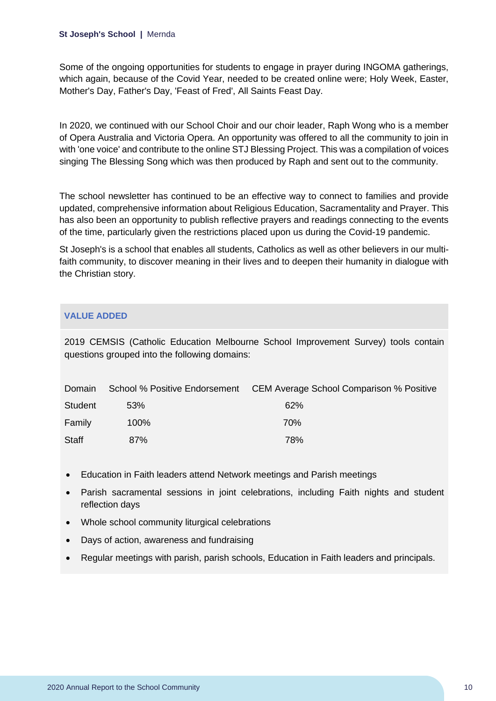Some of the ongoing opportunities for students to engage in prayer during INGOMA gatherings, which again, because of the Covid Year, needed to be created online were; Holy Week, Easter, Mother's Day, Father's Day, 'Feast of Fred', All Saints Feast Day.

In 2020, we continued with our School Choir and our choir leader, Raph Wong who is a member of Opera Australia and Victoria Opera. An opportunity was offered to all the community to join in with 'one voice' and contribute to the online STJ Blessing Project. This was a compilation of voices singing The Blessing Song which was then produced by Raph and sent out to the community.

The school newsletter has continued to be an effective way to connect to families and provide updated, comprehensive information about Religious Education, Sacramentality and Prayer. This has also been an opportunity to publish reflective prayers and readings connecting to the events of the time, particularly given the restrictions placed upon us during the Covid-19 pandemic.

St Joseph's is a school that enables all students, Catholics as well as other believers in our multifaith community, to discover meaning in their lives and to deepen their humanity in dialogue with the Christian story.

## **VALUE ADDED**

2019 CEMSIS (Catholic Education Melbourne School Improvement Survey) tools contain questions grouped into the following domains:

| Domain         |      | School % Positive Endorsement CEM Average School Comparison % Positive |
|----------------|------|------------------------------------------------------------------------|
| <b>Student</b> | 53%  | 62%                                                                    |
| Family         | 100% | 70%                                                                    |
| Staff          | 87%  | 78%                                                                    |

- Education in Faith leaders attend Network meetings and Parish meetings
- Parish sacramental sessions in joint celebrations, including Faith nights and student reflection days
- Whole school community liturgical celebrations
- Days of action, awareness and fundraising
- Regular meetings with parish, parish schools, Education in Faith leaders and principals.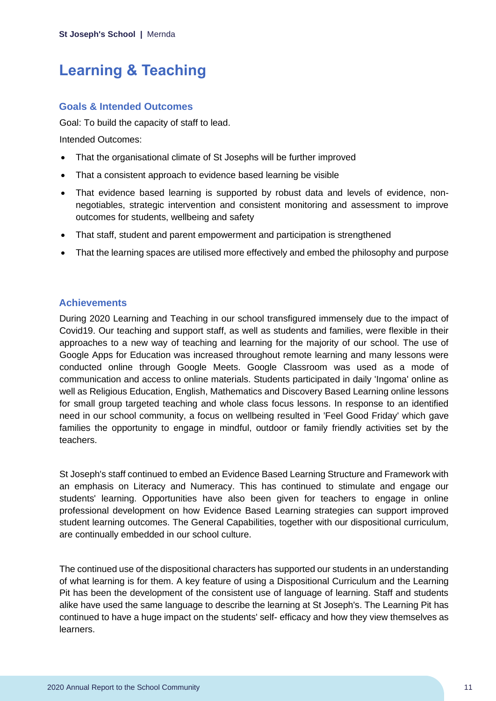# <span id="page-11-0"></span>**Learning & Teaching**

## **Goals & Intended Outcomes**

Goal: To build the capacity of staff to lead.

Intended Outcomes:

- That the organisational climate of St Josephs will be further improved
- That a consistent approach to evidence based learning be visible
- That evidence based learning is supported by robust data and levels of evidence, nonnegotiables, strategic intervention and consistent monitoring and assessment to improve outcomes for students, wellbeing and safety
- That staff, student and parent empowerment and participation is strengthened
- That the learning spaces are utilised more effectively and embed the philosophy and purpose

## **Achievements**

During 2020 Learning and Teaching in our school transfigured immensely due to the impact of Covid19. Our teaching and support staff, as well as students and families, were flexible in their approaches to a new way of teaching and learning for the majority of our school. The use of Google Apps for Education was increased throughout remote learning and many lessons were conducted online through Google Meets. Google Classroom was used as a mode of communication and access to online materials. Students participated in daily 'Ingoma' online as well as Religious Education, English, Mathematics and Discovery Based Learning online lessons for small group targeted teaching and whole class focus lessons. In response to an identified need in our school community, a focus on wellbeing resulted in 'Feel Good Friday' which gave families the opportunity to engage in mindful, outdoor or family friendly activities set by the teachers.

St Joseph's staff continued to embed an Evidence Based Learning Structure and Framework with an emphasis on Literacy and Numeracy. This has continued to stimulate and engage our students' learning. Opportunities have also been given for teachers to engage in online professional development on how Evidence Based Learning strategies can support improved student learning outcomes. The General Capabilities, together with our dispositional curriculum, are continually embedded in our school culture.

The continued use of the dispositional characters has supported our students in an understanding of what learning is for them. A key feature of using a Dispositional Curriculum and the Learning Pit has been the development of the consistent use of language of learning. Staff and students alike have used the same language to describe the learning at St Joseph's. The Learning Pit has continued to have a huge impact on the students' self- efficacy and how they view themselves as learners.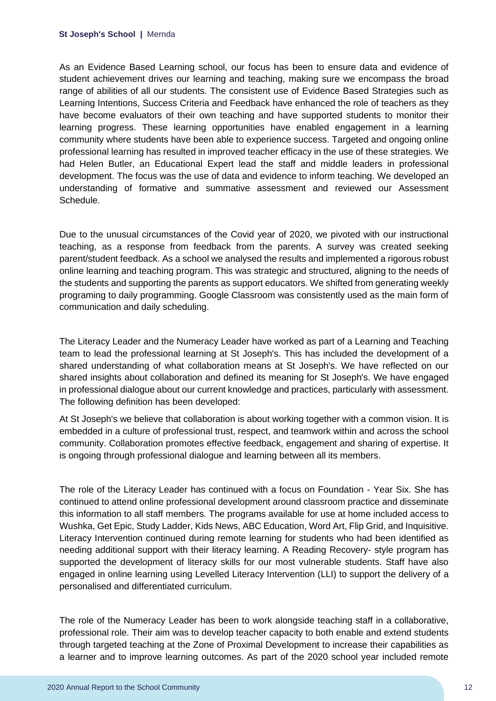As an Evidence Based Learning school, our focus has been to ensure data and evidence of student achievement drives our learning and teaching, making sure we encompass the broad range of abilities of all our students. The consistent use of Evidence Based Strategies such as Learning Intentions, Success Criteria and Feedback have enhanced the role of teachers as they have become evaluators of their own teaching and have supported students to monitor their learning progress. These learning opportunities have enabled engagement in a learning community where students have been able to experience success. Targeted and ongoing online professional learning has resulted in improved teacher efficacy in the use of these strategies. We had Helen Butler, an Educational Expert lead the staff and middle leaders in professional development. The focus was the use of data and evidence to inform teaching. We developed an understanding of formative and summative assessment and reviewed our Assessment Schedule.

Due to the unusual circumstances of the Covid year of 2020, we pivoted with our instructional teaching, as a response from feedback from the parents. A survey was created seeking parent/student feedback. As a school we analysed the results and implemented a rigorous robust online learning and teaching program. This was strategic and structured, aligning to the needs of the students and supporting the parents as support educators. We shifted from generating weekly programing to daily programming. Google Classroom was consistently used as the main form of communication and daily scheduling.

The Literacy Leader and the Numeracy Leader have worked as part of a Learning and Teaching team to lead the professional learning at St Joseph's. This has included the development of a shared understanding of what collaboration means at St Joseph's. We have reflected on our shared insights about collaboration and defined its meaning for St Joseph's. We have engaged in professional dialogue about our current knowledge and practices, particularly with assessment. The following definition has been developed:

At St Joseph's we believe that collaboration is about working together with a common vision. It is embedded in a culture of professional trust, respect, and teamwork within and across the school community. Collaboration promotes effective feedback, engagement and sharing of expertise. It is ongoing through professional dialogue and learning between all its members.

The role of the Literacy Leader has continued with a focus on Foundation - Year Six. She has continued to attend online professional development around classroom practice and disseminate this information to all staff members. The programs available for use at home included access to Wushka, Get Epic, Study Ladder, Kids News, ABC Education, Word Art, Flip Grid, and Inquisitive. Literacy Intervention continued during remote learning for students who had been identified as needing additional support with their literacy learning. A Reading Recovery- style program has supported the development of literacy skills for our most vulnerable students. Staff have also engaged in online learning using Levelled Literacy Intervention (LLI) to support the delivery of a personalised and differentiated curriculum.

The role of the Numeracy Leader has been to work alongside teaching staff in a collaborative, professional role. Their aim was to develop teacher capacity to both enable and extend students through targeted teaching at the Zone of Proximal Development to increase their capabilities as a learner and to improve learning outcomes. As part of the 2020 school year included remote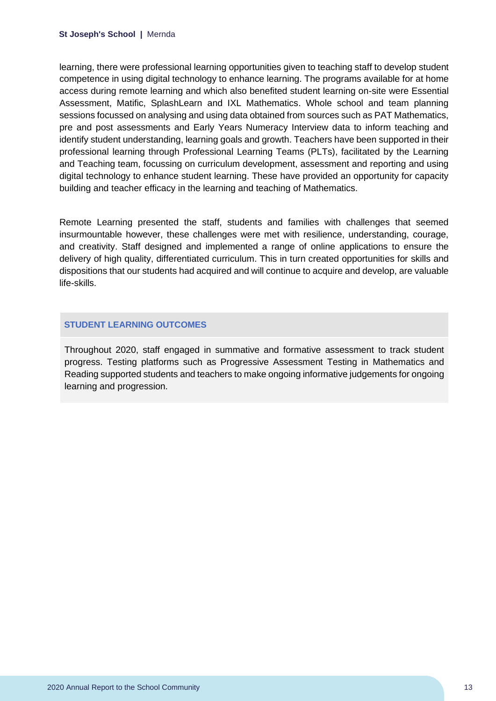learning, there were professional learning opportunities given to teaching staff to develop student competence in using digital technology to enhance learning. The programs available for at home access during remote learning and which also benefited student learning on-site were Essential Assessment, Matific, SplashLearn and IXL Mathematics. Whole school and team planning sessions focussed on analysing and using data obtained from sources such as PAT Mathematics, pre and post assessments and Early Years Numeracy Interview data to inform teaching and identify student understanding, learning goals and growth. Teachers have been supported in their professional learning through Professional Learning Teams (PLTs), facilitated by the Learning and Teaching team, focussing on curriculum development, assessment and reporting and using digital technology to enhance student learning. These have provided an opportunity for capacity building and teacher efficacy in the learning and teaching of Mathematics.

Remote Learning presented the staff, students and families with challenges that seemed insurmountable however, these challenges were met with resilience, understanding, courage, and creativity. Staff designed and implemented a range of online applications to ensure the delivery of high quality, differentiated curriculum. This in turn created opportunities for skills and dispositions that our students had acquired and will continue to acquire and develop, are valuable life-skills.

#### **STUDENT LEARNING OUTCOMES**

Throughout 2020, staff engaged in summative and formative assessment to track student progress. Testing platforms such as Progressive Assessment Testing in Mathematics and Reading supported students and teachers to make ongoing informative judgements for ongoing learning and progression.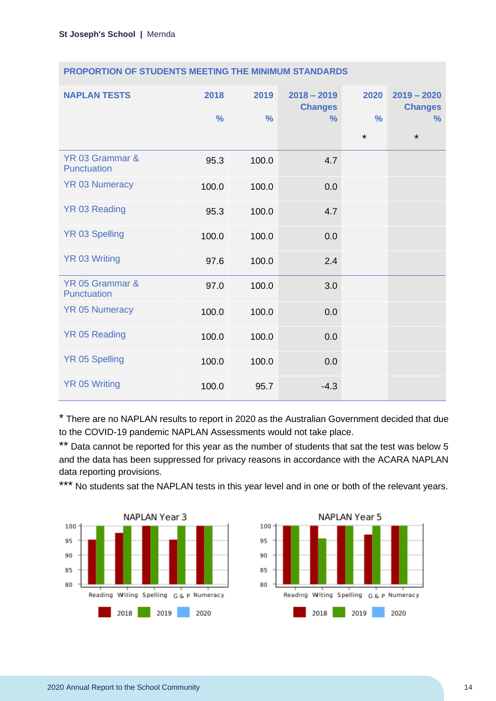| <b>NAPLAN TESTS</b>            | 2018<br>$\frac{0}{0}$ | 2019<br>$\frac{0}{0}$ | $2018 - 2019$<br><b>Changes</b><br>$\frac{9}{6}$ | 2020<br>$\frac{0}{0}$<br>$\star$ | $2019 - 2020$<br><b>Changes</b><br>$\%$<br>$\star$ |
|--------------------------------|-----------------------|-----------------------|--------------------------------------------------|----------------------------------|----------------------------------------------------|
| YR 03 Grammar &<br>Punctuation | 95.3                  | 100.0                 | 4.7                                              |                                  |                                                    |
| <b>YR 03 Numeracy</b>          | 100.0                 | 100.0                 | 0.0                                              |                                  |                                                    |
| YR 03 Reading                  | 95.3                  | 100.0                 | 4.7                                              |                                  |                                                    |
| <b>YR 03 Spelling</b>          | 100.0                 | 100.0                 | 0.0                                              |                                  |                                                    |
| <b>YR 03 Writing</b>           | 97.6                  | 100.0                 | 2.4                                              |                                  |                                                    |
| YR 05 Grammar &<br>Punctuation | 97.0                  | 100.0                 | 3.0                                              |                                  |                                                    |
| <b>YR 05 Numeracy</b>          | 100.0                 | 100.0                 | 0.0                                              |                                  |                                                    |
| YR 05 Reading                  | 100.0                 | 100.0                 | 0.0                                              |                                  |                                                    |
| <b>YR 05 Spelling</b>          | 100.0                 | 100.0                 | 0.0                                              |                                  |                                                    |
| <b>YR 05 Writing</b>           | 100.0                 | 95.7                  | $-4.3$                                           |                                  |                                                    |

#### **PROPORTION OF STUDENTS MEETING THE MINIMUM STANDARDS**

\* There are no NAPLAN results to report in 2020 as the Australian Government decided that due to the COVID-19 pandemic NAPLAN Assessments would not take place.

\*\* Data cannot be reported for this year as the number of students that sat the test was below 5 and the data has been suppressed for privacy reasons in accordance with the ACARA NAPLAN data reporting provisions.

\*\*\* No students sat the NAPLAN tests in this year level and in one or both of the relevant years.



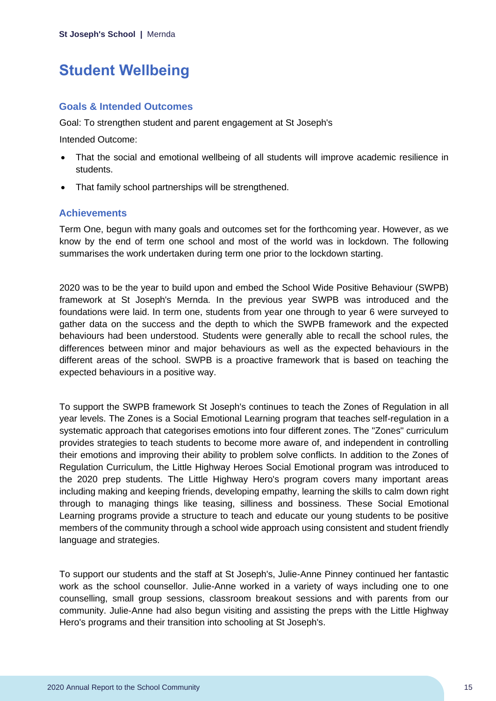# <span id="page-15-0"></span>**Student Wellbeing**

## **Goals & Intended Outcomes**

Goal: To strengthen student and parent engagement at St Joseph's

Intended Outcome:

- That the social and emotional wellbeing of all students will improve academic resilience in students.
- That family school partnerships will be strengthened.

## **Achievements**

Term One, begun with many goals and outcomes set for the forthcoming year. However, as we know by the end of term one school and most of the world was in lockdown. The following summarises the work undertaken during term one prior to the lockdown starting.

2020 was to be the year to build upon and embed the School Wide Positive Behaviour (SWPB) framework at St Joseph's Mernda. In the previous year SWPB was introduced and the foundations were laid. In term one, students from year one through to year 6 were surveyed to gather data on the success and the depth to which the SWPB framework and the expected behaviours had been understood. Students were generally able to recall the school rules, the differences between minor and major behaviours as well as the expected behaviours in the different areas of the school. SWPB is a proactive framework that is based on teaching the expected behaviours in a positive way.

To support the SWPB framework St Joseph's continues to teach the Zones of Regulation in all year levels. The Zones is a Social Emotional Learning program that teaches self-regulation in a systematic approach that categorises emotions into four different zones. The "Zones" curriculum provides strategies to teach students to become more aware of, and independent in controlling their emotions and improving their ability to problem solve conflicts. In addition to the Zones of Regulation Curriculum, the Little Highway Heroes Social Emotional program was introduced to the 2020 prep students. The Little Highway Hero's program covers many important areas including making and keeping friends, developing empathy, learning the skills to calm down right through to managing things like teasing, silliness and bossiness. These Social Emotional Learning programs provide a structure to teach and educate our young students to be positive members of the community through a school wide approach using consistent and student friendly language and strategies.

To support our students and the staff at St Joseph's, Julie-Anne Pinney continued her fantastic work as the school counsellor. Julie-Anne worked in a variety of ways including one to one counselling, small group sessions, classroom breakout sessions and with parents from our community. Julie-Anne had also begun visiting and assisting the preps with the Little Highway Hero's programs and their transition into schooling at St Joseph's.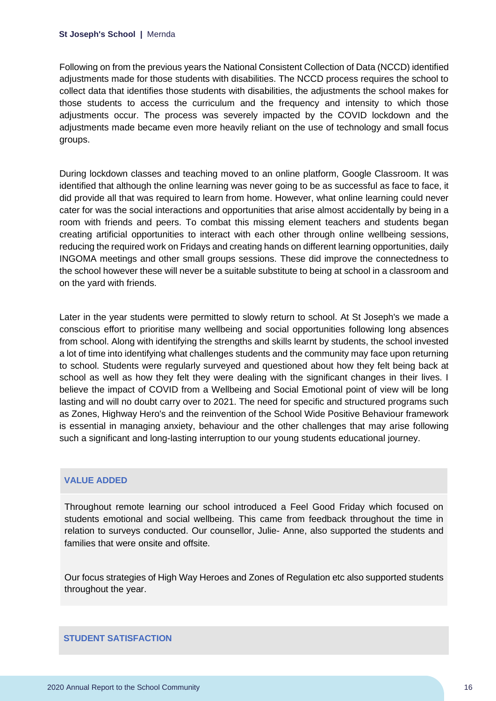Following on from the previous years the National Consistent Collection of Data (NCCD) identified adjustments made for those students with disabilities. The NCCD process requires the school to collect data that identifies those students with disabilities, the adjustments the school makes for those students to access the curriculum and the frequency and intensity to which those adjustments occur. The process was severely impacted by the COVID lockdown and the adjustments made became even more heavily reliant on the use of technology and small focus groups.

During lockdown classes and teaching moved to an online platform, Google Classroom. It was identified that although the online learning was never going to be as successful as face to face, it did provide all that was required to learn from home. However, what online learning could never cater for was the social interactions and opportunities that arise almost accidentally by being in a room with friends and peers. To combat this missing element teachers and students began creating artificial opportunities to interact with each other through online wellbeing sessions, reducing the required work on Fridays and creating hands on different learning opportunities, daily INGOMA meetings and other small groups sessions. These did improve the connectedness to the school however these will never be a suitable substitute to being at school in a classroom and on the yard with friends.

Later in the year students were permitted to slowly return to school. At St Joseph's we made a conscious effort to prioritise many wellbeing and social opportunities following long absences from school. Along with identifying the strengths and skills learnt by students, the school invested a lot of time into identifying what challenges students and the community may face upon returning to school. Students were regularly surveyed and questioned about how they felt being back at school as well as how they felt they were dealing with the significant changes in their lives. I believe the impact of COVID from a Wellbeing and Social Emotional point of view will be long lasting and will no doubt carry over to 2021. The need for specific and structured programs such as Zones, Highway Hero's and the reinvention of the School Wide Positive Behaviour framework is essential in managing anxiety, behaviour and the other challenges that may arise following such a significant and long-lasting interruption to our young students educational journey.

## **VALUE ADDED**

Throughout remote learning our school introduced a Feel Good Friday which focused on students emotional and social wellbeing. This came from feedback throughout the time in relation to surveys conducted. Our counsellor, Julie- Anne, also supported the students and families that were onsite and offsite.

Our focus strategies of High Way Heroes and Zones of Regulation etc also supported students throughout the year.

#### **STUDENT SATISFACTION**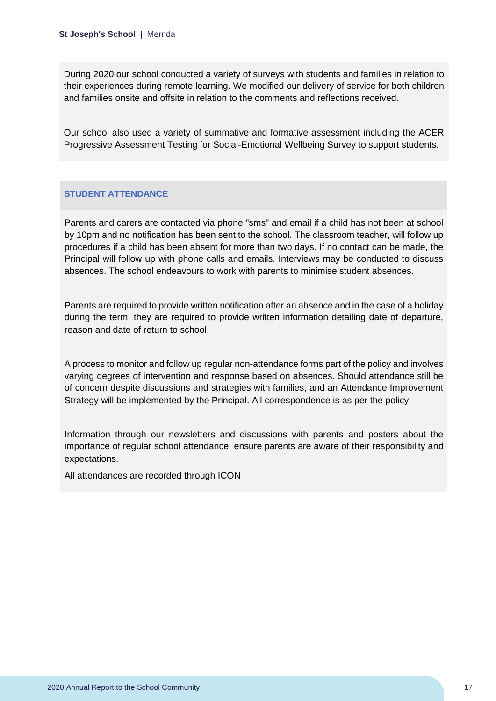During 2020 our school conducted a variety of surveys with students and families in relation to their experiences during remote learning. We modified our delivery of service for both children and families onsite and offsite in relation to the comments and reflections received.

Our school also used a variety of summative and formative assessment including the ACER Progressive Assessment Testing for Social-Emotional Wellbeing Survey to support students.

## **STUDENT ATTENDANCE**

Parents and carers are contacted via phone "sms" and email if a child has not been at school by 10pm and no notification has been sent to the school. The classroom teacher, will follow up procedures if a child has been absent for more than two days. If no contact can be made, the Principal will follow up with phone calls and emails. Interviews may be conducted to discuss absences. The school endeavours to work with parents to minimise student absences.

Parents are required to provide written notification after an absence and in the case of a holiday during the term, they are required to provide written information detailing date of departure, reason and date of return to school.

A process to monitor and follow up regular non-attendance forms part of the policy and involves varying degrees of intervention and response based on absences. Should attendance still be of concern despite discussions and strategies with families, and an Attendance Improvement Strategy will be implemented by the Principal. All correspondence is as per the policy.

Information through our newsletters and discussions with parents and posters about the importance of regular school attendance, ensure parents are aware of their responsibility and expectations.

All attendances are recorded through ICON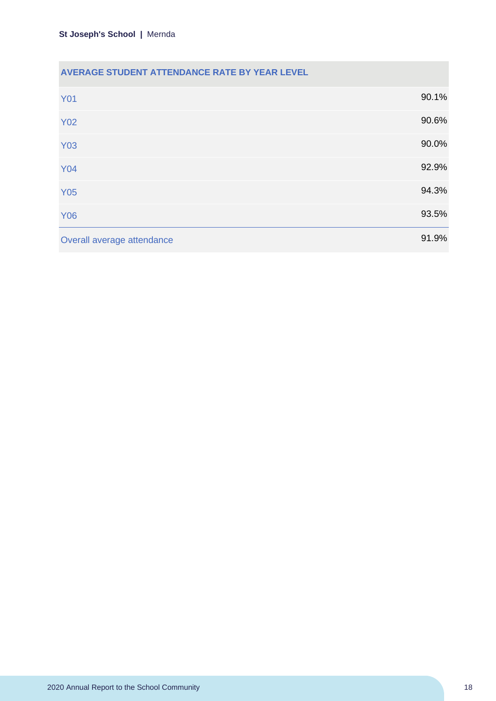## **AVERAGE STUDENT ATTENDANCE RATE BY YEAR LEVEL**

| <b>Y01</b>                 | 90.1% |
|----------------------------|-------|
| <b>Y02</b>                 | 90.6% |
| <b>Y03</b>                 | 90.0% |
| <b>Y04</b>                 | 92.9% |
| <b>Y05</b>                 | 94.3% |
| <b>Y06</b>                 | 93.5% |
| Overall average attendance | 91.9% |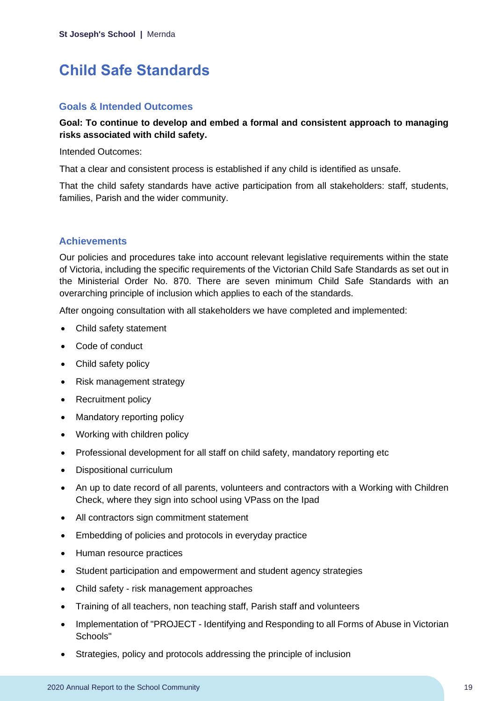# <span id="page-19-0"></span>**Child Safe Standards**

#### **Goals & Intended Outcomes**

## **Goal: To continue to develop and embed a formal and consistent approach to managing risks associated with child safety.**

Intended Outcomes:

That a clear and consistent process is established if any child is identified as unsafe.

That the child safety standards have active participation from all stakeholders: staff, students, families, Parish and the wider community.

## **Achievements**

Our policies and procedures take into account relevant legislative requirements within the state of Victoria, including the specific requirements of the Victorian Child Safe Standards as set out in the Ministerial Order No. 870. There are seven minimum Child Safe Standards with an overarching principle of inclusion which applies to each of the standards.

After ongoing consultation with all stakeholders we have completed and implemented:

- Child safety statement
- Code of conduct
- Child safety policy
- Risk management strategy
- Recruitment policy
- Mandatory reporting policy
- Working with children policy
- Professional development for all staff on child safety, mandatory reporting etc
- Dispositional curriculum
- An up to date record of all parents, volunteers and contractors with a Working with Children Check, where they sign into school using VPass on the Ipad
- All contractors sign commitment statement
- Embedding of policies and protocols in everyday practice
- Human resource practices
- Student participation and empowerment and student agency strategies
- Child safety risk management approaches
- Training of all teachers, non teaching staff, Parish staff and volunteers
- Implementation of "PROJECT Identifying and Responding to all Forms of Abuse in Victorian Schools"
- Strategies, policy and protocols addressing the principle of inclusion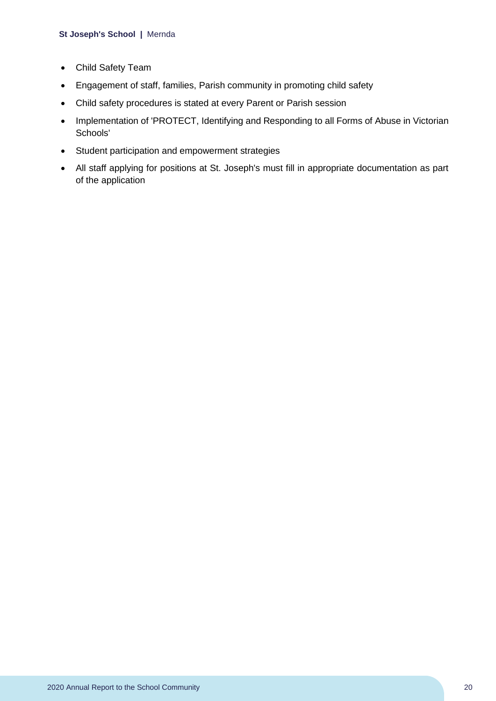- Child Safety Team
- Engagement of staff, families, Parish community in promoting child safety
- Child safety procedures is stated at every Parent or Parish session
- Implementation of 'PROTECT, Identifying and Responding to all Forms of Abuse in Victorian Schools'
- Student participation and empowerment strategies
- All staff applying for positions at St. Joseph's must fill in appropriate documentation as part of the application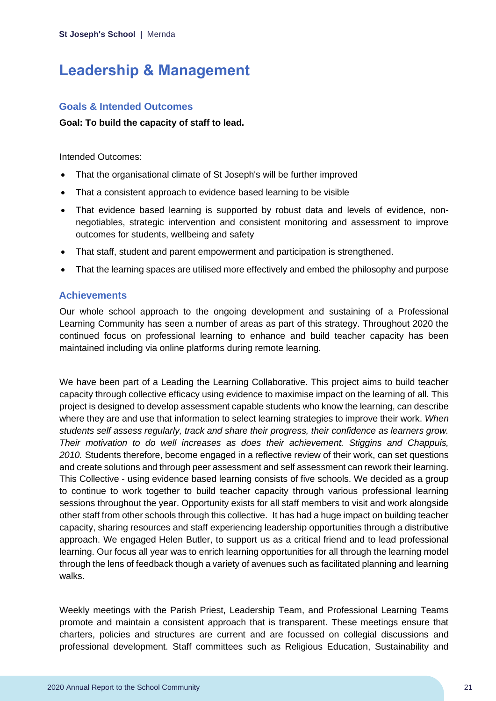# <span id="page-21-0"></span>**Leadership & Management**

## **Goals & Intended Outcomes**

#### **Goal: To build the capacity of staff to lead.**

Intended Outcomes:

- That the organisational climate of St Joseph's will be further improved
- That a consistent approach to evidence based learning to be visible
- That evidence based learning is supported by robust data and levels of evidence, nonnegotiables, strategic intervention and consistent monitoring and assessment to improve outcomes for students, wellbeing and safety
- That staff, student and parent empowerment and participation is strengthened.
- That the learning spaces are utilised more effectively and embed the philosophy and purpose

## **Achievements**

Our whole school approach to the ongoing development and sustaining of a Professional Learning Community has seen a number of areas as part of this strategy. Throughout 2020 the continued focus on professional learning to enhance and build teacher capacity has been maintained including via online platforms during remote learning.

We have been part of a Leading the Learning Collaborative. This project aims to build teacher capacity through collective efficacy using evidence to maximise impact on the learning of all. This project is designed to develop assessment capable students who know the learning, can describe where they are and use that information to select learning strategies to improve their work. *When students self assess regularly, track and share their progress, their confidence as learners grow. Their motivation to do well increases as does their achievement. Stiggins and Chappuis, 2010.* Students therefore, become engaged in a reflective review of their work, can set questions and create solutions and through peer assessment and self assessment can rework their learning. This Collective - using evidence based learning consists of five schools. We decided as a group to continue to work together to build teacher capacity through various professional learning sessions throughout the year. Opportunity exists for all staff members to visit and work alongside other staff from other schools through this collective. It has had a huge impact on building teacher capacity, sharing resources and staff experiencing leadership opportunities through a distributive approach. We engaged Helen Butler, to support us as a critical friend and to lead professional learning. Our focus all year was to enrich learning opportunities for all through the learning model through the lens of feedback though a variety of avenues such as facilitated planning and learning walks.

Weekly meetings with the Parish Priest, Leadership Team, and Professional Learning Teams promote and maintain a consistent approach that is transparent. These meetings ensure that charters, policies and structures are current and are focussed on collegial discussions and professional development. Staff committees such as Religious Education, Sustainability and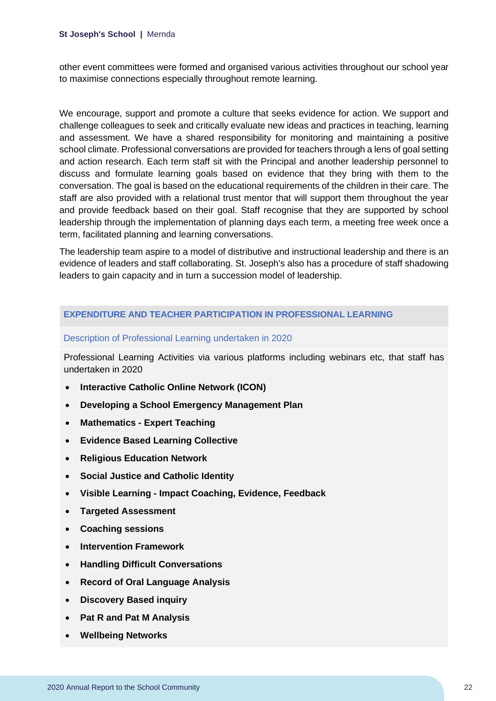other event committees were formed and organised various activities throughout our school year to maximise connections especially throughout remote learning.

We encourage, support and promote a culture that seeks evidence for action. We support and challenge colleagues to seek and critically evaluate new ideas and practices in teaching, learning and assessment. We have a shared responsibility for monitoring and maintaining a positive school climate. Professional conversations are provided for teachers through a lens of goal setting and action research. Each term staff sit with the Principal and another leadership personnel to discuss and formulate learning goals based on evidence that they bring with them to the conversation. The goal is based on the educational requirements of the children in their care. The staff are also provided with a relational trust mentor that will support them throughout the year and provide feedback based on their goal. Staff recognise that they are supported by school leadership through the implementation of planning days each term, a meeting free week once a term, facilitated planning and learning conversations.

The leadership team aspire to a model of distributive and instructional leadership and there is an evidence of leaders and staff collaborating. St. Joseph's also has a procedure of staff shadowing leaders to gain capacity and in turn a succession model of leadership.

#### **EXPENDITURE AND TEACHER PARTICIPATION IN PROFESSIONAL LEARNING**

#### Description of Professional Learning undertaken in 2020

Professional Learning Activities via various platforms including webinars etc, that staff has undertaken in 2020

- **Interactive Catholic Online Network (ICON)**
- **Developing a School Emergency Management Plan**
- **Mathematics - Expert Teaching**
- **Evidence Based Learning Collective**
- **Religious Education Network**
- **Social Justice and Catholic Identity**
- **Visible Learning - Impact Coaching, Evidence, Feedback**
- **Targeted Assessment**
- **Coaching sessions**
- **Intervention Framework**
- **Handling Difficult Conversations**
- **Record of Oral Language Analysis**
- **Discovery Based inquiry**
- **Pat R and Pat M Analysis**
- **Wellbeing Networks**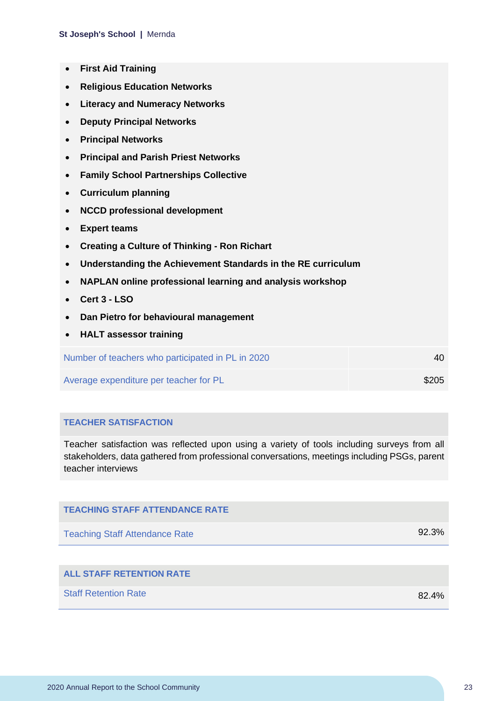- **First Aid Training**
- **Religious Education Networks**
- **Literacy and Numeracy Networks**
- **Deputy Principal Networks**
- **Principal Networks**
- **Principal and Parish Priest Networks**
- **Family School Partnerships Collective**
- **Curriculum planning**
- **NCCD professional development**
- **Expert teams**
- **Creating a Culture of Thinking - Ron Richart**
- **Understanding the Achievement Standards in the RE curriculum**
- **NAPLAN online professional learning and analysis workshop**
- **Cert 3 - LSO**
- **Dan Pietro for behavioural management**
- **HALT assessor training**

Number of teachers who participated in PL in 2020 40

Average expenditure per teacher for PL  $$205$ 

#### **TEACHER SATISFACTION**

Teacher satisfaction was reflected upon using a variety of tools including surveys from all stakeholders, data gathered from professional conversations, meetings including PSGs, parent teacher interviews

| <b>TEACHING STAFF ATTENDANCE RATE</b> |          |
|---------------------------------------|----------|
| <b>Teaching Staff Attendance Rate</b> | 92.3%    |
|                                       |          |
| <b>ALL STAFF RETENTION RATE</b>       |          |
| <b>Staff Retention Rate</b>           | $82.4\%$ |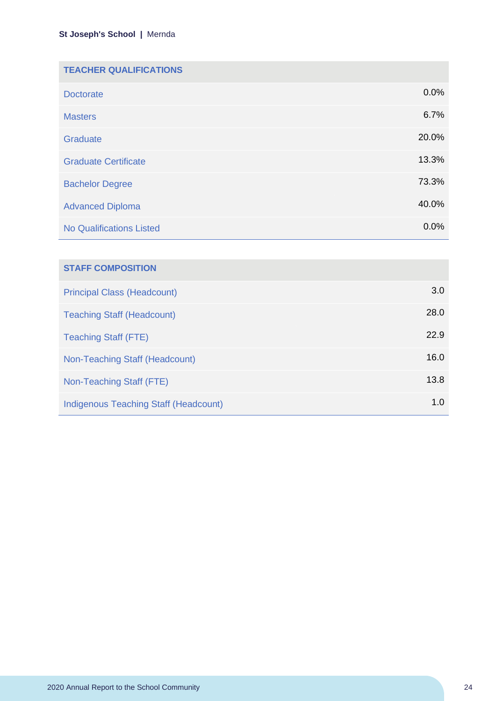| <b>TEACHER QUALIFICATIONS</b>   |       |
|---------------------------------|-------|
| <b>Doctorate</b>                | 0.0%  |
| <b>Masters</b>                  | 6.7%  |
| Graduate                        | 20.0% |
| <b>Graduate Certificate</b>     | 13.3% |
| <b>Bachelor Degree</b>          | 73.3% |
| <b>Advanced Diploma</b>         | 40.0% |
| <b>No Qualifications Listed</b> | 0.0%  |

| <b>STAFF COMPOSITION</b>              |      |
|---------------------------------------|------|
| <b>Principal Class (Headcount)</b>    | 3.0  |
| <b>Teaching Staff (Headcount)</b>     | 28.0 |
| <b>Teaching Staff (FTE)</b>           | 22.9 |
| Non-Teaching Staff (Headcount)        | 16.0 |
| Non-Teaching Staff (FTE)              | 13.8 |
| Indigenous Teaching Staff (Headcount) | 1.0  |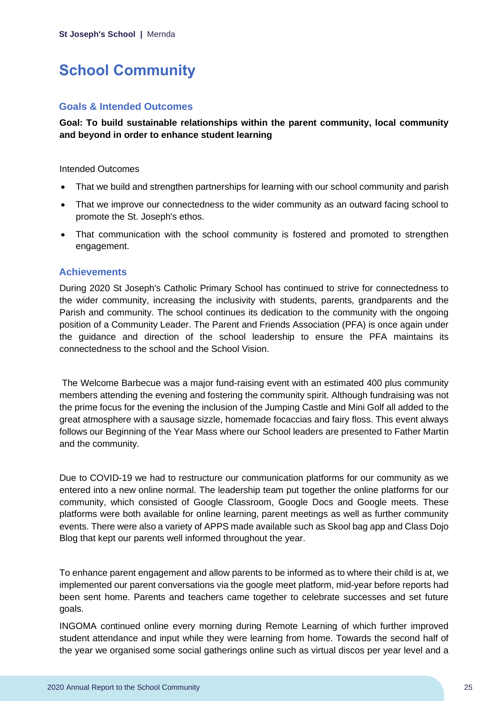# <span id="page-25-0"></span>**School Community**

## **Goals & Intended Outcomes**

**Goal: To build sustainable relationships within the parent community, local community and beyond in order to enhance student learning**

#### Intended Outcomes

- That we build and strengthen partnerships for learning with our school community and parish
- That we improve our connectedness to the wider community as an outward facing school to promote the St. Joseph's ethos.
- That communication with the school community is fostered and promoted to strengthen engagement.

#### **Achievements**

During 2020 St Joseph's Catholic Primary School has continued to strive for connectedness to the wider community, increasing the inclusivity with students, parents, grandparents and the Parish and community. The school continues its dedication to the community with the ongoing position of a Community Leader. The Parent and Friends Association (PFA) is once again under the guidance and direction of the school leadership to ensure the PFA maintains its connectedness to the school and the School Vision.

The Welcome Barbecue was a major fund-raising event with an estimated 400 plus community members attending the evening and fostering the community spirit. Although fundraising was not the prime focus for the evening the inclusion of the Jumping Castle and Mini Golf all added to the great atmosphere with a sausage sizzle, homemade focaccias and fairy floss. This event always follows our Beginning of the Year Mass where our School leaders are presented to Father Martin and the community.

Due to COVID-19 we had to restructure our communication platforms for our community as we entered into a new online normal. The leadership team put together the online platforms for our community, which consisted of Google Classroom, Google Docs and Google meets. These platforms were both available for online learning, parent meetings as well as further community events. There were also a variety of APPS made available such as Skool bag app and Class Dojo Blog that kept our parents well informed throughout the year.

To enhance parent engagement and allow parents to be informed as to where their child is at, we implemented our parent conversations via the google meet platform, mid-year before reports had been sent home. Parents and teachers came together to celebrate successes and set future goals.

INGOMA continued online every morning during Remote Learning of which further improved student attendance and input while they were learning from home. Towards the second half of the year we organised some social gatherings online such as virtual discos per year level and a